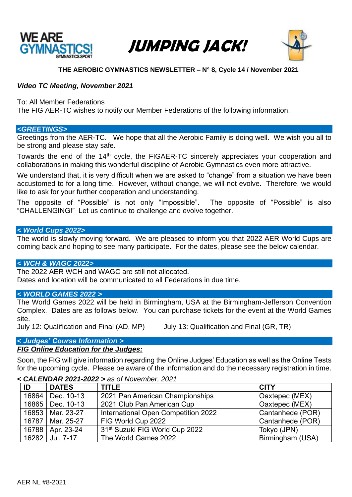

# JUMPING JACK!



# **THE AEROBIC GYMNASTICS NEWSLETTER – N° 8, Cycle 14 / November 2021**

# *Video TC Meeting, November 2021*

To: All Member Federations

The FIG AER-TC wishes to notify our Member Federations of the following information.

# *<GREETINGS>*

Greetings from the AER-TC. We hope that all the Aerobic Family is doing well. We wish you all to be strong and please stay safe.

Towards the end of the 14th cycle, the FIGAER-TC sincerely appreciates your cooperation and collaborations in making this wonderful discipline of Aerobic Gymnastics even more attractive.

We understand that, it is very difficult when we are asked to "change" from a situation we have been accustomed to for a long time. However, without change, we will not evolve. Therefore, we would like to ask for your further cooperation and understanding.

The opposite of "Possible" is not only "Impossible". The opposite of "Possible" is also "CHALLENGING!" Let us continue to challenge and evolve together.

# *< World Cups 2022>*

The world is slowly moving forward. We are pleased to inform you that 2022 AER World Cups are coming back and hoping to see many participate. For the dates, please see the below calendar.

# *< WCH & WAGC 2022>*

The 2022 AER WCH and WAGC are still not allocated. Dates and location will be communicated to all Federations in due time.

# *< WORLD GAMES 2022 >*

The World Games 2022 will be held in Birmingham, USA at the Birmingham-Jefferson Convention Complex. Dates are as follows below. You can purchase tickets for the event at the World Games site.

July 12: Qualification and Final (AD, MP) July 13: Qualification and Final (GR, TR)

# *< Judges' Course Information >*

# *FIG Online Education for the Judges:*

Soon, the FIG will give information regarding the Online Judges' Education as well as the Online Tests for the upcoming cycle. Please be aware of the information and do the necessary registration in time.

# **ID DATES TITLE CITY** 16864 Dec. 10-13 2021 Pan American Championships | Oaxtepec (MEX) 16865 Dec. 10-13 2021 Club Pan American Cup Caxtepec (MEX) 16853 | Mar. 23-27 | International Open Competition 2022 | Cantanhede (POR) 16787 | Mar. 25-27 | FIG World Cup 2022 | Cantanhede (POR) 16788 | Apr. 23-24 | 31<sup>st</sup> Suzuki FIG World Cup 2022 | Tokyo (JPN) 16282 Jul. 7-17 The World Games 2022 Birmingham (USA)

#### *< CALENDAR 2021-2022 > as of November, 2021*